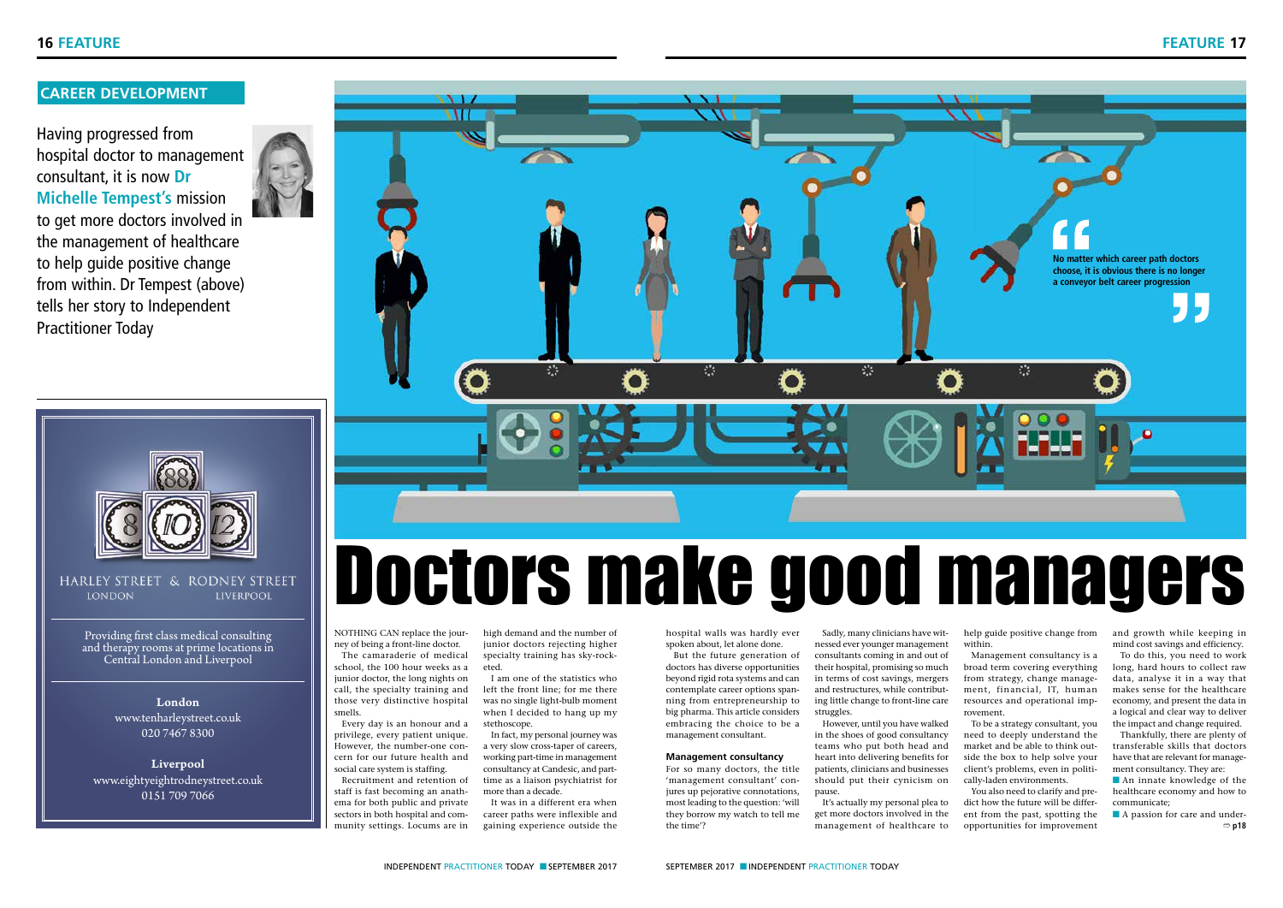

NOTHING CAN replace the journey of being a front-line doctor.

# **career development**

The camaraderie of medical school, the 100 hour weeks as a junior doctor, the long nights on call, the specialty training and those very distinctive hospital smells.

Every day is an honour and a privilege, every patient unique. However, the number-one concern for our future health and social care system is staffing.

Recruitment and retention of staff is fast becoming an anathema for both public and private sectors in both hospital and community settings. Locums are in

Sadly, many clinicians have witnessed ever younger management consultants coming in and out of their hospital, promising so much in terms of cost savings, mergers and restructures, while contributing little change to front-line care struggles.

However, until you have walked in the shoes of good consultancy teams who put both head and heart into delivering benefits for patients, clinicians and businesses should put their cynicism on pause.

It's actually my personal plea to get more doctors involved in the management of healthcare to

Having progressed from hospital doctor to management consultant, it is now **Dr Michelle Tempest's** mission to get more doctors involved in the management of healthcare to help guide positive change from within. Dr Tempest (above) tells her story to Independent Practitioner Today



#### HARLEY STREET & RODNEY STREET LIVERPOOL **LONDON**

high demand and the number of junior doctors rejecting higher specialty training has sky-rocketed.

I am one of the statistics who left the front line; for me there was no single light-bulb moment when I decided to hang up my stethoscope.

In fact, my personal journey was a very slow cross-taper of careers, working part-time in management consultancy at Candesic, and parttime as a liaison psychiatrist for more than a decade.

> A passion for care and under-➱ **p18**



It was in a different era when career paths were inflexible and gaining experience outside the

hospital walls was hardly ever spoken about, let alone done.

But the future generation of doctors has diverse opportunities beyond rigid rota systems and can contemplate career options spanning from entrepreneurship to big pharma. This article considers embracing the choice to be a management consultant.

#### **Management consultancy**

For so many doctors, the title 'management consultant' conjures up pejorative connotations, most leading to the question: 'will they borrow my watch to tell me the time'?

help guide positive change from within.

Management consultancy is a broad term covering everything from strategy, change management, financial, IT, human resources and operational improvement.

To be a strategy consultant, you need to deeply understand the market and be able to think outside the box to help solve your client's problems, even in politically-laden environments.

You also need to clarify and predict how the future will be different from the past, spotting the opportunities for improvement and growth while keeping in mind cost savings and efficiency.

To do this, you need to work long, hard hours to collect raw data, analyse it in a way that makes sense for the healthcare economy, and present the data in a logical and clear way to deliver the impact and change required.

Thankfully, there are plenty of transferable skills that doctors have that are relevant for management consultancy. They are:

 An innate knowledge of the healthcare economy and how to communicate;

Providing first class medical consulting and therapy rooms at prime locations in Central London and Liverpool

### London www.tenharleystreet.co.uk 020 7467 8300

Liverpool www.eightyeightrodneystreet.co.uk 0151 709 7066